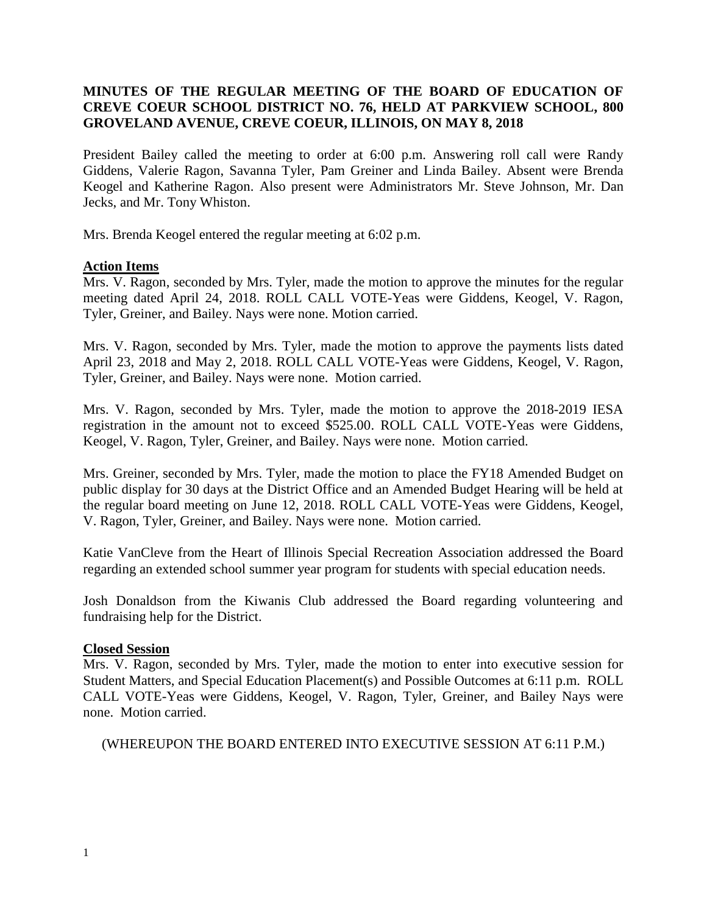## **MINUTES OF THE REGULAR MEETING OF THE BOARD OF EDUCATION OF CREVE COEUR SCHOOL DISTRICT NO. 76, HELD AT PARKVIEW SCHOOL, 800 GROVELAND AVENUE, CREVE COEUR, ILLINOIS, ON MAY 8, 2018**

President Bailey called the meeting to order at 6:00 p.m. Answering roll call were Randy Giddens, Valerie Ragon, Savanna Tyler, Pam Greiner and Linda Bailey. Absent were Brenda Keogel and Katherine Ragon. Also present were Administrators Mr. Steve Johnson, Mr. Dan Jecks, and Mr. Tony Whiston.

Mrs. Brenda Keogel entered the regular meeting at 6:02 p.m.

## **Action Items**

Mrs. V. Ragon, seconded by Mrs. Tyler, made the motion to approve the minutes for the regular meeting dated April 24, 2018. ROLL CALL VOTE-Yeas were Giddens, Keogel, V. Ragon, Tyler, Greiner, and Bailey. Nays were none. Motion carried.

Mrs. V. Ragon, seconded by Mrs. Tyler, made the motion to approve the payments lists dated April 23, 2018 and May 2, 2018. ROLL CALL VOTE-Yeas were Giddens, Keogel, V. Ragon, Tyler, Greiner, and Bailey. Nays were none. Motion carried.

Mrs. V. Ragon, seconded by Mrs. Tyler, made the motion to approve the 2018-2019 IESA registration in the amount not to exceed \$525.00. ROLL CALL VOTE-Yeas were Giddens, Keogel, V. Ragon, Tyler, Greiner, and Bailey. Nays were none. Motion carried.

Mrs. Greiner, seconded by Mrs. Tyler, made the motion to place the FY18 Amended Budget on public display for 30 days at the District Office and an Amended Budget Hearing will be held at the regular board meeting on June 12, 2018. ROLL CALL VOTE-Yeas were Giddens, Keogel, V. Ragon, Tyler, Greiner, and Bailey. Nays were none. Motion carried.

Katie VanCleve from the Heart of Illinois Special Recreation Association addressed the Board regarding an extended school summer year program for students with special education needs.

Josh Donaldson from the Kiwanis Club addressed the Board regarding volunteering and fundraising help for the District.

## **Closed Session**

Mrs. V. Ragon, seconded by Mrs. Tyler, made the motion to enter into executive session for Student Matters, and Special Education Placement(s) and Possible Outcomes at 6:11 p.m. ROLL CALL VOTE-Yeas were Giddens, Keogel, V. Ragon, Tyler, Greiner, and Bailey Nays were none. Motion carried.

(WHEREUPON THE BOARD ENTERED INTO EXECUTIVE SESSION AT 6:11 P.M.)